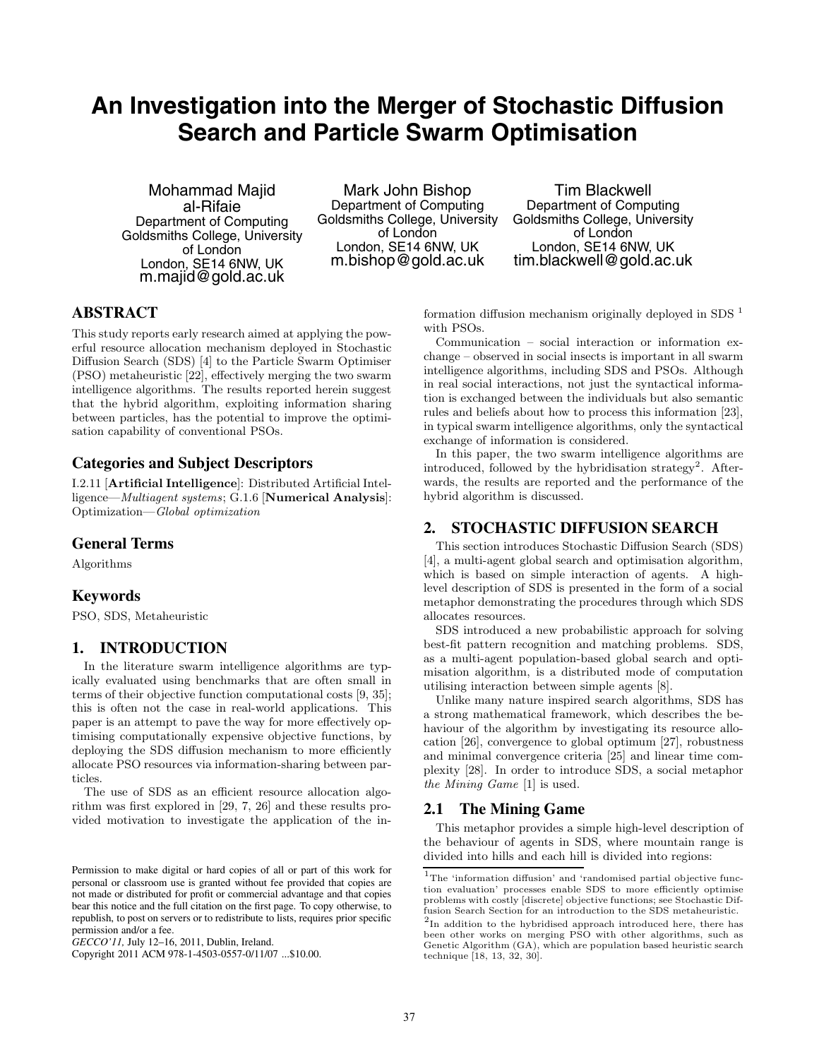## **An Investigation into the Merger of Stochastic Diffusion Search and Particle Swarm Optimisation**

Mohammad Majid al-Rifaie Department of Computing Goldsmiths College, University of London London, SE14 6NW, UK m.majid@gold.ac.uk

Mark John Bishop Department of Computing Goldsmiths College, University of London London, SE14 6NW, UK m.bishop@gold.ac.uk

Tim Blackwell Department of Computing Goldsmiths College, University of London London, SE14 6NW, UK tim.blackwell@gold.ac.uk

## **ABSTRACT**

This study reports early research aimed at applying the powerful resource allocation mechanism deployed in Stochastic Diffusion Search (SDS) [4] to the Particle Swarm Optimiser (PSO) metaheuristic [22], effectively merging the two swarm intelligence algorithms. The results reported herein suggest that the hybrid algorithm, exploiting information sharing between particles, has the potential to improve the optimisation capability of conventional PSOs.

## **Categories and Subject Descriptors**

I.2.11 [**Artificial Intelligence**]: Distributed Artificial Intelligence—Multiagent systems; G.1.6 [**Numerical Analysis**]: Optimization—Global optimization

## **General Terms**

Algorithms

## **Keywords**

PSO, SDS, Metaheuristic

## **1. INTRODUCTION**

In the literature swarm intelligence algorithms are typically evaluated using benchmarks that are often small in terms of their objective function computational costs [9, 35]; this is often not the case in real-world applications. This paper is an attempt to pave the way for more effectively optimising computationally expensive objective functions, by deploying the SDS diffusion mechanism to more efficiently allocate PSO resources via information-sharing between particles.

The use of SDS as an efficient resource allocation algorithm was first explored in [29, 7, 26] and these results provided motivation to investigate the application of the in-

Copyright 2011 ACM 978-1-4503-0557-0/11/07 ...\$10.00.

formation diffusion mechanism originally deployed in  $SDS<sup>1</sup>$ with PSOs.

Communication – social interaction or information exchange – observed in social insects is important in all swarm intelligence algorithms, including SDS and PSOs. Although in real social interactions, not just the syntactical information is exchanged between the individuals but also semantic rules and beliefs about how to process this information [23], in typical swarm intelligence algorithms, only the syntactical exchange of information is considered.

In this paper, the two swarm intelligence algorithms are introduced, followed by the hybridisation strategy<sup>2</sup>. Afterwards, the results are reported and the performance of the hybrid algorithm is discussed.

## **2. STOCHASTIC DIFFUSION SEARCH**

This section introduces Stochastic Diffusion Search (SDS) [4], a multi-agent global search and optimisation algorithm, which is based on simple interaction of agents. A highlevel description of SDS is presented in the form of a social metaphor demonstrating the procedures through which SDS allocates resources.

SDS introduced a new probabilistic approach for solving best-fit pattern recognition and matching problems. SDS, as a multi-agent population-based global search and optimisation algorithm, is a distributed mode of computation utilising interaction between simple agents [8].

Unlike many nature inspired search algorithms, SDS has a strong mathematical framework, which describes the behaviour of the algorithm by investigating its resource allocation [26], convergence to global optimum [27], robustness and minimal convergence criteria [25] and linear time complexity [28]. In order to introduce SDS, a social metaphor the Mining Game [1] is used.

## **2.1 The Mining Game**

This metaphor provides a simple high-level description of the behaviour of agents in SDS, where mountain range is divided into hills and each hill is divided into regions:

Permission to make digital or hard copies of all or part of this work for personal or classroom use is granted without fee provided that copies are not made or distributed for profit or commercial advantage and that copies bear this notice and the full citation on the first page. To copy otherwise, to republish, to post on servers or to redistribute to lists, requires prior specific permission and/or a fee.

*GECCO'11,* July 12–16, 2011, Dublin, Ireland.

 $^{\rm 1}{\rm The}$  'information diffusion' and 'randomised partial objective function evaluation' processes enable SDS to more efficiently optimise problems with costly [discrete] objective functions; see Stochastic Diffusion Search Section for an introduction to the SDS metaheuristic.

 $^2{\rm In}$  addition to the hybridised approach introduced here, there has been other works on merging PSO with other algorithms, such as Genetic Algorithm (GA), which are population based heuristic search technique [18, 13, 32, 30].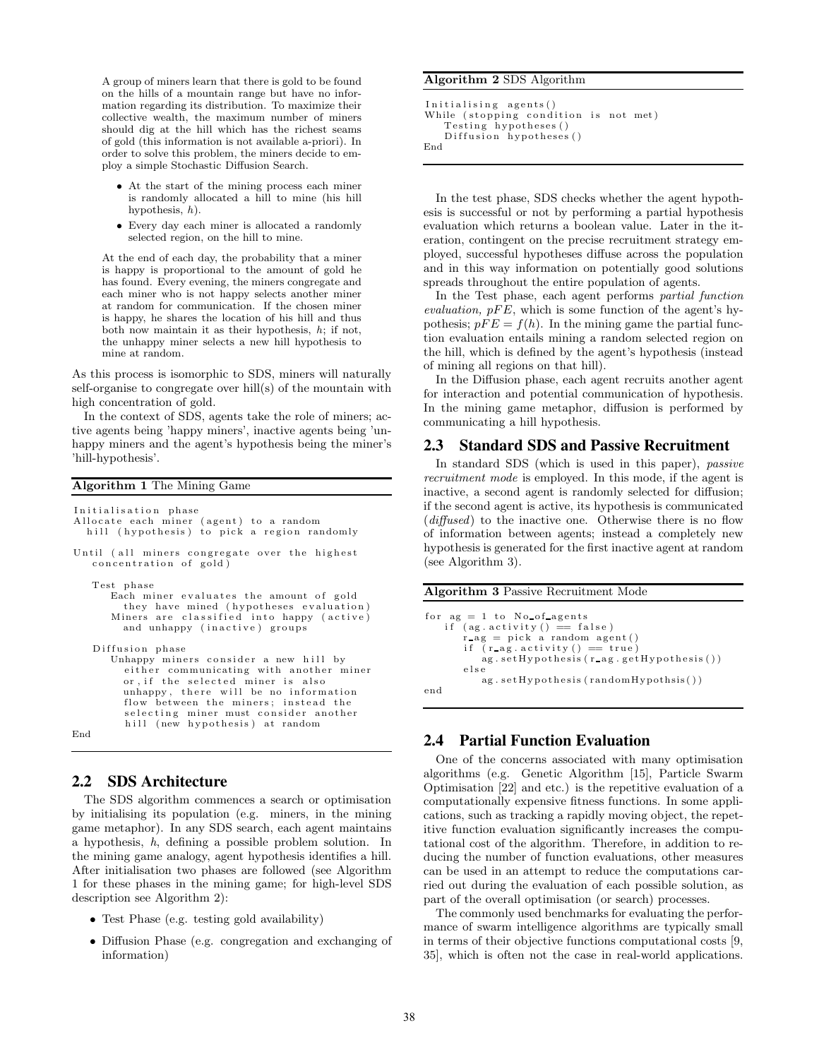A group of miners learn that there is gold to be found on the hills of a mountain range but have no information regarding its distribution. To maximize their collective wealth, the maximum number of miners should dig at the hill which has the richest seams of gold (this information is not available a-priori). In order to solve this problem, the miners decide to employ a simple Stochastic Diffusion Search.

- At the start of the mining process each miner is randomly allocated a hill to mine (his hill hypothesis, *h*).
- *•* Every day each miner is allocated a randomly selected region, on the hill to mine.

At the end of each day, the probability that a miner is happy is proportional to the amount of gold he has found. Every evening, the miners congregate and each miner who is not happy selects another miner at random for communication. If the chosen miner is happy, he shares the location of his hill and thus both now maintain it as their hypothesis, *h*; if not, the unhappy miner selects a new hill hypothesis to mine at random.

As this process is isomorphic to SDS, miners will naturally self-organise to congregate over hill(s) of the mountain with high concentration of gold.

In the context of SDS, agents take the role of miners; active agents being 'happy miners', inactive agents being 'unhappy miners and the agent's hypothesis being the miner's 'hill-hypothesis'.

#### **Algorithm 1** The Mining Game

Initialisation phase

```
Allocate each miner (agent) to a random
 hill (hypothesis) to pick a region randomly
Until (all miners congregate over the highest
```

```
concentration of gold )
```

```
Test phase
```
End

```
Each miner evaluates the amount of gold
  they have mined (hypotheses evaluation)
Miners are classified into happy (active)
  and unhappy (inactive) groups
```
#### Diffusion phase

Unhappy miners consider a new hill by e ither communicating with another miner or, if the selected miner is also unhappy, there will be no information flow between the miners; instead the selecting miner must consider another hill (new hypothesis) at random

## **2.2 SDS Architecture**

The SDS algorithm commences a search or optimisation by initialising its population (e.g. miners, in the mining game metaphor). In any SDS search, each agent maintains a hypothesis, h, defining a possible problem solution. In the mining game analogy, agent hypothesis identifies a hill. After initialisation two phases are followed (see Algorithm 1 for these phases in the mining game; for high-level SDS description see Algorithm 2):

- Test Phase (e.g. testing gold availability)
- *•* Diffusion Phase (e.g. congregation and exchanging of information)

#### **Algorithm 2** SDS Algorithm

```
Initialising agents()
While (stopping condition is not met)
   Testing hypotheses ()
   Diffusion hypotheses ()
End
```
In the test phase, SDS checks whether the agent hypothesis is successful or not by performing a partial hypothesis evaluation which returns a boolean value. Later in the iteration, contingent on the precise recruitment strategy employed, successful hypotheses diffuse across the population and in this way information on potentially good solutions spreads throughout the entire population of agents.

In the Test phase, each agent performs partial function evaluation,  $pFE$ , which is some function of the agent's hypothesis;  $pFE = f(h)$ . In the mining game the partial function evaluation entails mining a random selected region on the hill, which is defined by the agent's hypothesis (instead of mining all regions on that hill).

In the Diffusion phase, each agent recruits another agent for interaction and potential communication of hypothesis. In the mining game metaphor, diffusion is performed by communicating a hill hypothesis.

## **2.3 Standard SDS and Passive Recruitment**

In standard SDS (which is used in this paper), passive recruitment mode is employed. In this mode, if the agent is inactive, a second agent is randomly selected for diffusion; if the second agent is active, its hypothesis is communicated (diffused) to the inactive one. Otherwise there is no flow of information between agents; instead a completely new hypothesis is generated for the first inactive agent at random (see Algorithm 3).

#### **Algorithm 3** Passive Recruitment Mode

```
for ag = 1 to No_of_a <br/>gentsif (ag. activity() == false)r\text{-}ag = \text{pick} \quad a \quad \text{random} \quad agen\text{t}<br>if (r \text{ as} \quad activity() == true)(r_a g . activity () == true)ag . setHypothesis ( r ag . getHypothesis ())
          else
              ag . setHypothesis ( randomHypothsis( ))
end
```
## **2.4 Partial Function Evaluation**

One of the concerns associated with many optimisation algorithms (e.g. Genetic Algorithm [15], Particle Swarm Optimisation [22] and etc.) is the repetitive evaluation of a computationally expensive fitness functions. In some applications, such as tracking a rapidly moving object, the repetitive function evaluation significantly increases the computational cost of the algorithm. Therefore, in addition to reducing the number of function evaluations, other measures can be used in an attempt to reduce the computations carried out during the evaluation of each possible solution, as part of the overall optimisation (or search) processes.

The commonly used benchmarks for evaluating the performance of swarm intelligence algorithms are typically small in terms of their objective functions computational costs [9, 35], which is often not the case in real-world applications.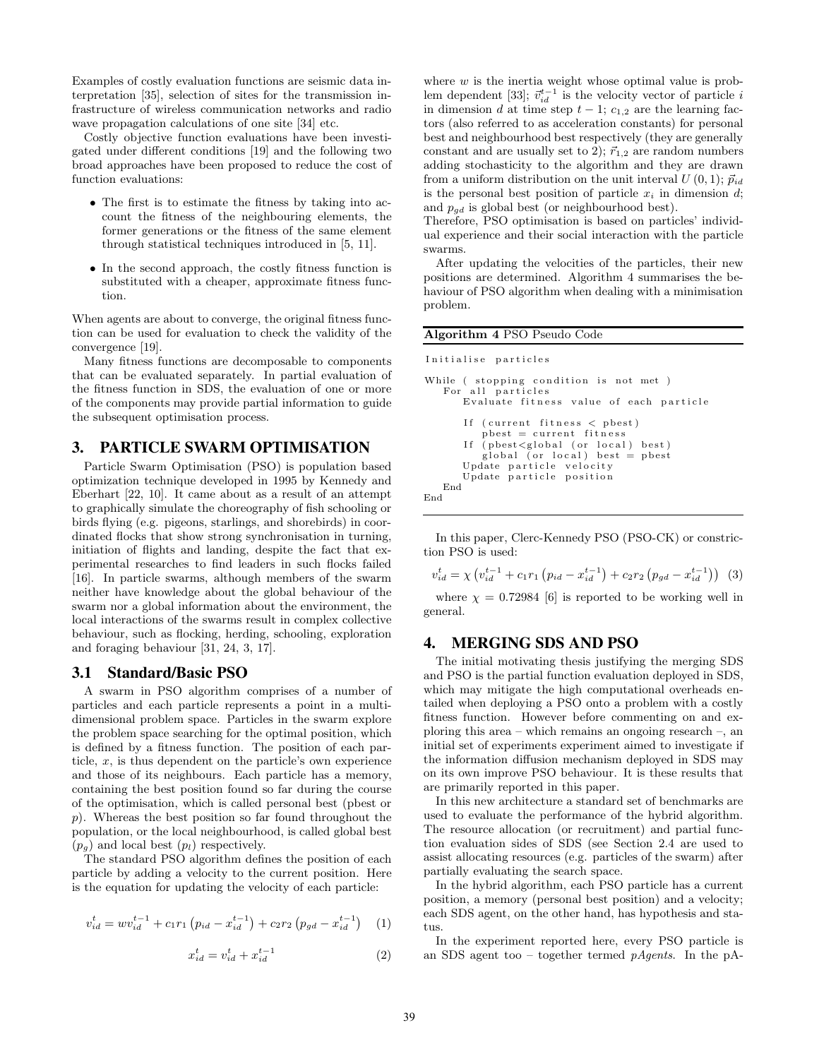Examples of costly evaluation functions are seismic data interpretation [35], selection of sites for the transmission infrastructure of wireless communication networks and radio wave propagation calculations of one site [34] etc.

Costly objective function evaluations have been investigated under different conditions [19] and the following two broad approaches have been proposed to reduce the cost of function evaluations:

- *•* The first is to estimate the fitness by taking into account the fitness of the neighbouring elements, the former generations or the fitness of the same element through statistical techniques introduced in [5, 11].
- In the second approach, the costly fitness function is substituted with a cheaper, approximate fitness function.

When agents are about to converge, the original fitness function can be used for evaluation to check the validity of the convergence [19].

Many fitness functions are decomposable to components that can be evaluated separately. In partial evaluation of the fitness function in SDS, the evaluation of one or more of the components may provide partial information to guide the subsequent optimisation process.

## **3. PARTICLE SWARM OPTIMISATION**

Particle Swarm Optimisation (PSO) is population based optimization technique developed in 1995 by Kennedy and Eberhart [22, 10]. It came about as a result of an attempt to graphically simulate the choreography of fish schooling or birds flying (e.g. pigeons, starlings, and shorebirds) in coordinated flocks that show strong synchronisation in turning, initiation of flights and landing, despite the fact that experimental researches to find leaders in such flocks failed [16]. In particle swarms, although members of the swarm neither have knowledge about the global behaviour of the swarm nor a global information about the environment, the local interactions of the swarms result in complex collective behaviour, such as flocking, herding, schooling, exploration and foraging behaviour [31, 24, 3, 17].

#### **3.1 Standard/Basic PSO**

A swarm in PSO algorithm comprises of a number of particles and each particle represents a point in a multidimensional problem space. Particles in the swarm explore the problem space searching for the optimal position, which is defined by a fitness function. The position of each particle, x, is thus dependent on the particle's own experience and those of its neighbours. Each particle has a memory, containing the best position found so far during the course of the optimisation, which is called personal best (pbest or p). Whereas the best position so far found throughout the population, or the local neighbourhood, is called global best  $(p_g)$  and local best  $(p_l)$  respectively.

The standard PSO algorithm defines the position of each particle by adding a velocity to the current position. Here is the equation for updating the velocity of each particle:

$$
v_{id}^{t} = w v_{id}^{t-1} + c_1 r_1 \left( p_{id} - x_{id}^{t-1} \right) + c_2 r_2 \left( p_{gd} - x_{id}^{t-1} \right) \tag{1}
$$

$$
x_{id}^t = v_{id}^t + x_{id}^{t-1} \tag{2}
$$

where  $w$  is the inertia weight whose optimal value is problem dependent [33];  $\vec{v}_{id}^{t-1}$  is the velocity vector of particle i in dimension d at time step  $t - 1$ ;  $c_{1,2}$  are the learning factors (also referred to as acceleration constants) for personal best and neighbourhood best respectively (they are generally constant and are usually set to  $2$ ;  $\vec{r}_{1,2}$  are random numbers adding stochasticity to the algorithm and they are drawn from a uniform distribution on the unit interval  $U(0, 1)$ ;  $\vec{p}_{id}$ is the personal best position of particle  $x_i$  in dimension  $d$ ; and  $p_{qd}$  is global best (or neighbourhood best).

Therefore, PSO optimisation is based on particles' individual experience and their social interaction with the particle swarms.

After updating the velocities of the particles, their new positions are determined. Algorithm 4 summarises the behaviour of PSO algorithm when dealing with a minimisation problem.

#### **Algorithm 4** PSO Pseudo Code

```
Initialise particles
```

```
While ( stopping condition is not met )
   For all particles
       Evaluate fitness value of each particle
       If ( current fitness < pbest )
       pbest = current fitness<br>If (pbest<global (or local) best)
          global (or local) best = pbest
       Update particle velocity
       Update particle position
   End
End
```
In this paper, Clerc-Kennedy PSO (PSO-CK) or constriction PSO is used:

$$
v_{id}^t = \chi \left( v_{id}^{t-1} + c_1 r_1 \left( p_{id} - x_{id}^{t-1} \right) + c_2 r_2 \left( p_{gd} - x_{id}^{t-1} \right) \right) (3)
$$

where  $\chi = 0.72984$  [6] is reported to be working well in general.

## **4. MERGING SDS AND PSO**

The initial motivating thesis justifying the merging SDS and PSO is the partial function evaluation deployed in SDS, which may mitigate the high computational overheads entailed when deploying a PSO onto a problem with a costly fitness function. However before commenting on and exploring this area – which remains an ongoing research –, an initial set of experiments experiment aimed to investigate if the information diffusion mechanism deployed in SDS may on its own improve PSO behaviour. It is these results that are primarily reported in this paper.

In this new architecture a standard set of benchmarks are used to evaluate the performance of the hybrid algorithm. The resource allocation (or recruitment) and partial function evaluation sides of SDS (see Section 2.4 are used to assist allocating resources (e.g. particles of the swarm) after partially evaluating the search space.

In the hybrid algorithm, each PSO particle has a current position, a memory (personal best position) and a velocity; each SDS agent, on the other hand, has hypothesis and status.

In the experiment reported here, every PSO particle is an SDS agent too – together termed pAgents. In the pA-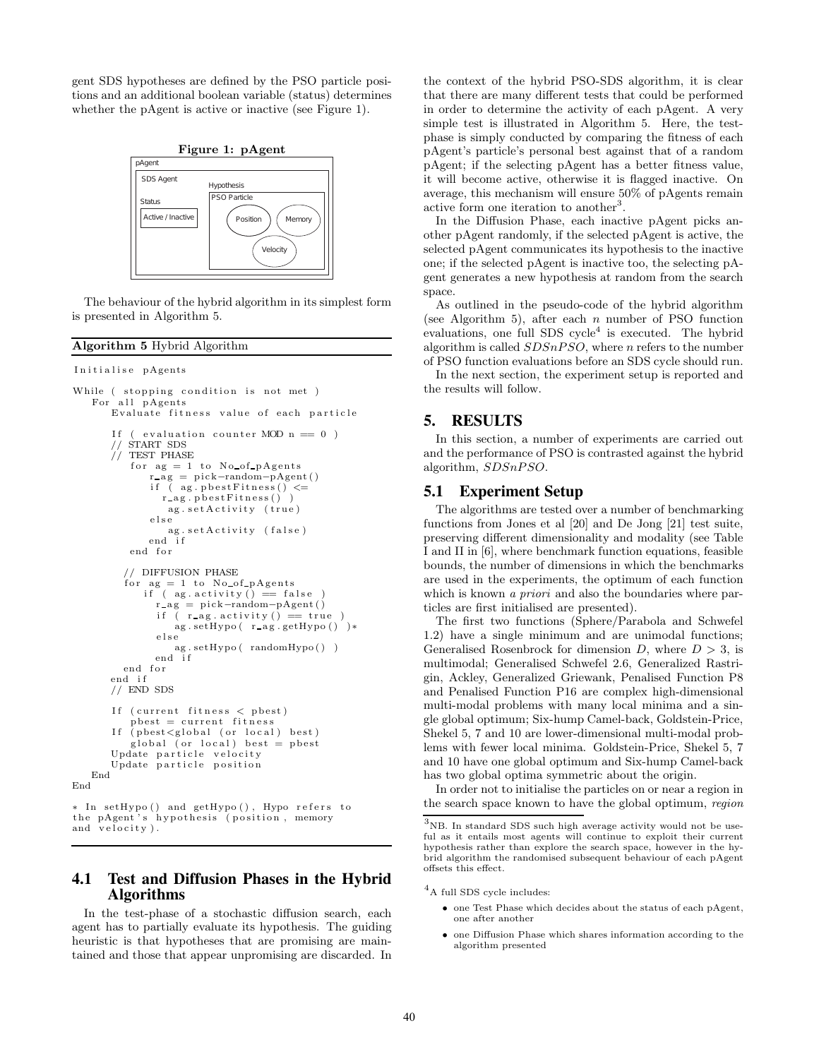gent SDS hypotheses are defined by the PSO particle positions and an additional boolean variable (status) determines whether the pAgent is active or inactive (see Figure 1).



The behaviour of the hybrid algorithm in its simplest form is presented in Algorithm 5.

#### **Algorithm 5** Hybrid Algorithm

Initialise pAgents

and velocity).

**Algorithms**

```
While ( stopping condition is not met )<br>For all pAgents
        all pAgents
       Evaluate fitness value of each particle
          ( evaluation counter MOD n == 0 )
          START SDS
         TEST PHASE
          for ag = 1 to No-of-pAgents
              r_aag = pick-random-pAgent()
              i f ( ag . pbestF itness () <=
                r ag . pbestFitness() )
              \frac{a}{\text{else}}. setActivity (true)
              else
              ag.setActivity (false)<br>end if
          end for
         // DIFFUSION PHASE
         for ag = 1 to No\_of\_pAgentsif ( ag. activity ( = false
               r ag = pick−random−pAgent ()
                if ( r_ag. activity () == true )<br>ag.setHypo ( r_aag.getHypo () )*
               else
                   ag . setHypo ( randomHypo ( ) )
               end i f
         end for
       end i f
       // END SDS
       If ( current fitness < pbest )
          pbest = current fitness
       I f ( pbest<global (or local ) best )
           global (or local) best = pbestUpdate particle velocity
       Update particle position
   End
End
∗ In setHypo ( ) and getHypo ( ) , Hypo r e f e r s to
the pAgent's hypothesis (position, memory
```
# **4.1 Test and Diffusion Phases in the Hybrid**

In the test-phase of a stochastic diffusion search, each agent has to partially evaluate its hypothesis. The guiding heuristic is that hypotheses that are promising are maintained and those that appear unpromising are discarded. In

the context of the hybrid PSO-SDS algorithm, it is clear that there are many different tests that could be performed in order to determine the activity of each pAgent. A very simple test is illustrated in Algorithm 5. Here, the testphase is simply conducted by comparing the fitness of each pAgent's particle's personal best against that of a random pAgent; if the selecting pAgent has a better fitness value, it will become active, otherwise it is flagged inactive. On average, this mechanism will ensure 50% of pAgents remain active form one iteration to another<sup>3</sup>.

In the Diffusion Phase, each inactive pAgent picks another pAgent randomly, if the selected pAgent is active, the selected pAgent communicates its hypothesis to the inactive one; if the selected pAgent is inactive too, the selecting pAgent generates a new hypothesis at random from the search space.

As outlined in the pseudo-code of the hybrid algorithm (see Algorithm 5), after each n number of PSO function evaluations, one full SDS  $cycle<sup>4</sup>$  is executed. The hybrid algorithm is called  $SDSnPSO$ , where n refers to the number of PSO function evaluations before an SDS cycle should run.

In the next section, the experiment setup is reported and the results will follow.

## **5. RESULTS**

In this section, a number of experiments are carried out and the performance of PSO is contrasted against the hybrid algorithm,  $SDSnPSO$ .

## **5.1 Experiment Setup**

The algorithms are tested over a number of benchmarking functions from Jones et al [20] and De Jong [21] test suite, preserving different dimensionality and modality (see Table I and II in [6], where benchmark function equations, feasible bounds, the number of dimensions in which the benchmarks are used in the experiments, the optimum of each function which is known *a priori* and also the boundaries where particles are first initialised are presented).

The first two functions (Sphere/Parabola and Schwefel 1.2) have a single minimum and are unimodal functions; Generalised Rosenbrock for dimension D, where  $D > 3$ , is multimodal; Generalised Schwefel 2.6, Generalized Rastrigin, Ackley, Generalized Griewank, Penalised Function P8 and Penalised Function P16 are complex high-dimensional multi-modal problems with many local minima and a single global optimum; Six-hump Camel-back, Goldstein-Price, Shekel 5, 7 and 10 are lower-dimensional multi-modal problems with fewer local minima. Goldstein-Price, Shekel 5, 7 and 10 have one global optimum and Six-hump Camel-back has two global optima symmetric about the origin.

In order not to initialise the particles on or near a region in the search space known to have the global optimum, region

 $^4\mbox{A}$  full SDS cycle includes:

- one Test Phase which decides about the status of each pAgent, one after another
- one Diffusion Phase which shares information according to the algorithm presented

 ${\rm ^3NB.}$  In standard SDS such high average activity would not be useful as it entails most agents will continue to exploit their current hypothesis rather than explore the search space, however in the hybrid algorithm the randomised subsequent behaviour of each pAgent offsets this effect.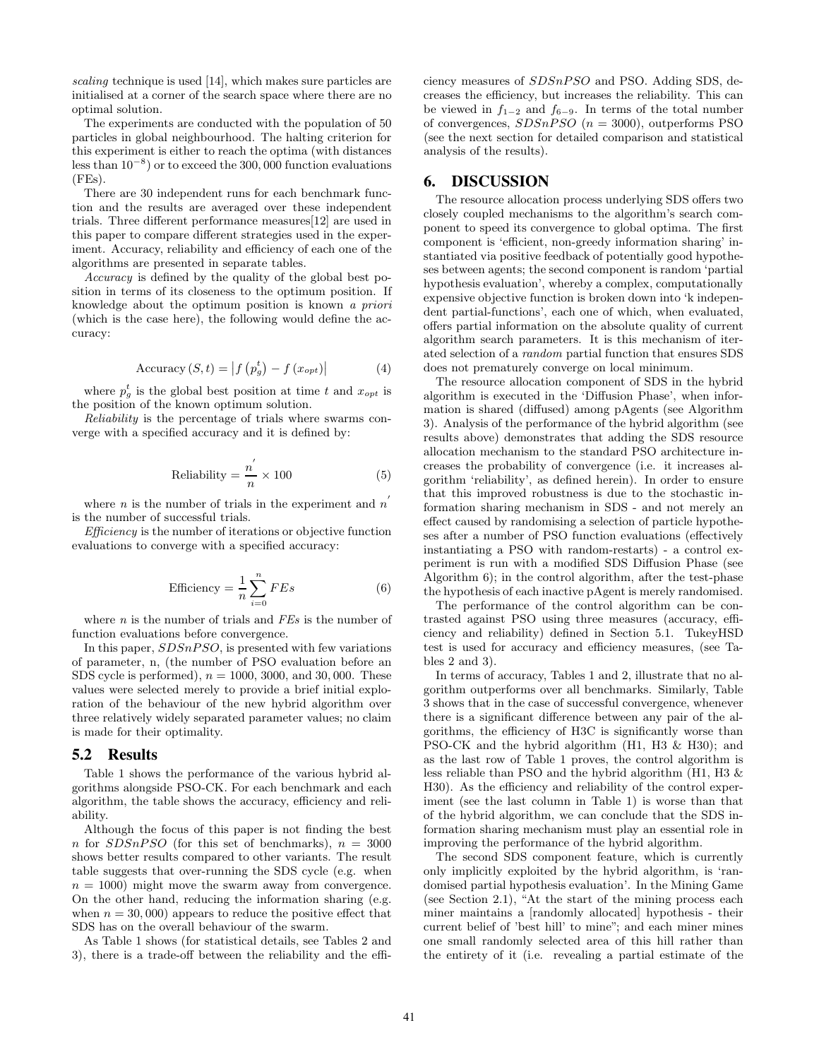scaling technique is used [14], which makes sure particles are initialised at a corner of the search space where there are no optimal solution.

The experiments are conducted with the population of 50 particles in global neighbourhood. The halting criterion for this experiment is either to reach the optima (with distances less than 10*−*<sup>8</sup>) or to exceed the 300, 000 function evaluations  $(FEs)$ .

There are 30 independent runs for each benchmark function and the results are averaged over these independent trials. Three different performance measures[12] are used in this paper to compare different strategies used in the experiment. Accuracy, reliability and efficiency of each one of the algorithms are presented in separate tables.

Accuracy is defined by the quality of the global best position in terms of its closeness to the optimum position. If knowledge about the optimum position is known a priori (which is the case here), the following would define the accuracy:

$$
Accuracy (S, t) = |f (p_g^t) - f (x_{opt})|
$$
 (4)

where  $p_g^t$  is the global best position at time t and  $x_{opt}$  is the position of the known optimum solution.

Reliability is the percentage of trials where swarms converge with a specified accuracy and it is defined by:

Reliability 
$$
=\frac{n'}{n} \times 100
$$
 (5)

where *n* is the number of trials in the experiment and  $n^{'}$ is the number of successful trials.

Efficiency is the number of iterations or objective function evaluations to converge with a specified accuracy:

Efficiency = 
$$
\frac{1}{n} \sum_{i=0}^{n} FEs
$$
 (6)

where  $n$  is the number of trials and  $FEs$  is the number of function evaluations before convergence.

In this paper,  $SDSnPSO$ , is presented with few variations of parameter, n, (the number of PSO evaluation before an SDS cycle is performed),  $n = 1000$ , 3000, and 30,000. These values were selected merely to provide a brief initial exploration of the behaviour of the new hybrid algorithm over three relatively widely separated parameter values; no claim is made for their optimality.

### **5.2 Results**

Table 1 shows the performance of the various hybrid algorithms alongside PSO-CK. For each benchmark and each algorithm, the table shows the accuracy, efficiency and reliability.

Although the focus of this paper is not finding the best n for  $SDSnPSO$  (for this set of benchmarks),  $n = 3000$ shows better results compared to other variants. The result table suggests that over-running the SDS cycle (e.g. when  $n = 1000$  might move the swarm away from convergence. On the other hand, reducing the information sharing (e.g. when  $n = 30,000$  appears to reduce the positive effect that SDS has on the overall behaviour of the swarm.

As Table 1 shows (for statistical details, see Tables 2 and 3), there is a trade-off between the reliability and the efficiency measures of  $SDSnPSO$  and PSO. Adding SDS, decreases the efficiency, but increases the reliability. This can be viewed in  $f_{1-2}$  and  $f_{6-9}$ . In terms of the total number of convergences,  $SDSnPSO(n = 3000)$ , outperforms PSO (see the next section for detailed comparison and statistical analysis of the results).

## **6. DISCUSSION**

The resource allocation process underlying SDS offers two closely coupled mechanisms to the algorithm's search component to speed its convergence to global optima. The first component is 'efficient, non-greedy information sharing' instantiated via positive feedback of potentially good hypotheses between agents; the second component is random 'partial hypothesis evaluation', whereby a complex, computationally expensive objective function is broken down into 'k independent partial-functions', each one of which, when evaluated, offers partial information on the absolute quality of current algorithm search parameters. It is this mechanism of iterated selection of a random partial function that ensures SDS does not prematurely converge on local minimum.

The resource allocation component of SDS in the hybrid algorithm is executed in the 'Diffusion Phase', when information is shared (diffused) among pAgents (see Algorithm 3). Analysis of the performance of the hybrid algorithm (see results above) demonstrates that adding the SDS resource allocation mechanism to the standard PSO architecture increases the probability of convergence (i.e. it increases algorithm 'reliability', as defined herein). In order to ensure that this improved robustness is due to the stochastic information sharing mechanism in SDS - and not merely an effect caused by randomising a selection of particle hypotheses after a number of PSO function evaluations (effectively instantiating a PSO with random-restarts) - a control experiment is run with a modified SDS Diffusion Phase (see Algorithm 6); in the control algorithm, after the test-phase the hypothesis of each inactive pAgent is merely randomised.

The performance of the control algorithm can be contrasted against PSO using three measures (accuracy, efficiency and reliability) defined in Section 5.1. TukeyHSD test is used for accuracy and efficiency measures, (see Tables 2 and 3).

In terms of accuracy, Tables 1 and 2, illustrate that no algorithm outperforms over all benchmarks. Similarly, Table 3 shows that in the case of successful convergence, whenever there is a significant difference between any pair of the algorithms, the efficiency of H3C is significantly worse than PSO-CK and the hybrid algorithm (H1, H3 & H30); and as the last row of Table 1 proves, the control algorithm is less reliable than PSO and the hybrid algorithm (H1, H3 & H30). As the efficiency and reliability of the control experiment (see the last column in Table 1) is worse than that of the hybrid algorithm, we can conclude that the SDS information sharing mechanism must play an essential role in improving the performance of the hybrid algorithm.

The second SDS component feature, which is currently only implicitly exploited by the hybrid algorithm, is 'randomised partial hypothesis evaluation'. In the Mining Game (see Section 2.1), "At the start of the mining process each miner maintains a [randomly allocated] hypothesis - their current belief of 'best hill' to mine"; and each miner mines one small randomly selected area of this hill rather than the entirety of it (i.e. revealing a partial estimate of the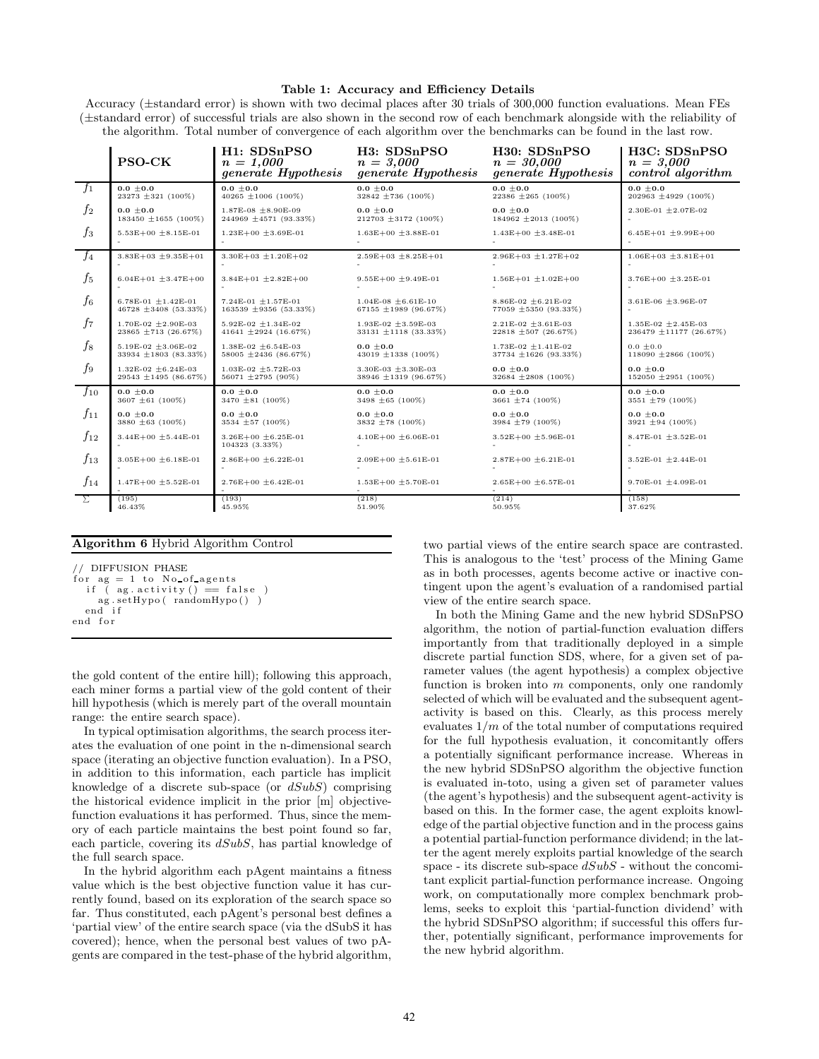#### **Table 1: Accuracy and Efficiency Details**

Accuracy (*±*standard error) is shown with two decimal places after 30 trials of 300,000 function evaluations. Mean FEs (*±*standard error) of successful trials are also shown in the second row of each benchmark alongside with the reliability of the algorithm. Total number of convergence of each algorithm over the benchmarks can be found in the last row.

|          | <b>PSO-CK</b>                                       | H <sub>1</sub> : SDSnPSO<br>$n = 1,000$<br><i>generate Hypothesis</i> | H3: SDSnPSO<br>$n = 3.000$<br>generate Hypothesis   | H30: SDSnPSO<br>$n = 30,000$<br>generate Hypothesis   | H <sub>3</sub> C: SDSnPSO<br>$n = 3.000$<br>control algorithm |
|----------|-----------------------------------------------------|-----------------------------------------------------------------------|-----------------------------------------------------|-------------------------------------------------------|---------------------------------------------------------------|
| $f_1$    | $0.0 + 0.0$<br>$23273 \pm 321 (100\%)$              | $0.0 + 0.0$<br>40265 $\pm$ 1006 (100%)                                | $0.0 + 0.0$<br>$32842 \pm 736 (100\%)$              | $0.0 + 0.0$<br>22386 $\pm 265$ (100%)                 | $0.0 + 0.0$<br>$202963 \pm 4929 (100\%)$                      |
| $f_2$    | $0.0 + 0.0$<br>183450 ±1655 (100%)                  | $1.87E-08$ +8.90E-09<br>244969 $\pm$ 4571 (93.33%)                    | $0.0 + 0.0$<br>$212703 \pm 3172 (100\%)$            | $0.0 + 0.0$<br>$184962 \pm 2013 (100\%)$              | $2.30E-01 \pm 2.07E-02$                                       |
| $f_3$    | $5.53E+00 \pm 8.15E-01$                             | $1.23E+00 \pm 3.69E-01$                                               | $1.63E+00 \pm 3.88E-01$                             | $1.43E+00 \pm 3.48E-01$                               | 6.45E+01 $\pm$ 9.99E+00                                       |
| $f_4$    | $3.83E+03 \pm 9.35E+01$                             | $3.30E+03 \pm 1.20E+02$                                               | $2.59E+03 \pm 8.25E+01$                             | $2.96E+03 \pm 1.27E+02$                               | $1.06E + 03 \pm 3.81E + 01$                                   |
| $f_5$    | 6.04E+01 $\pm$ 3.47E+00                             | $3.84E+01 \pm 2.82E+00$                                               | $9.55E+00 \pm 9.49E-01$                             | $1.56E+01 \pm 1.02E+00$                               | $3.76E+00 \pm 3.25E-01$                                       |
| $f_6$    | $6.78E-01 + 1.42E-01$<br>$46728 \pm 3408 (53.33\%)$ | $7.24E-01 + 1.57E-01$<br>$163539 \pm 9356 (53.33\%)$                  | $1.04E-08 + 6.61E-10$<br>67155 $\pm$ 1989 (96.67%)  | $8.86E-02 + 6.21E-02$<br>77059 ±5350 (93.33%)         | $3.61E-06 \pm 3.96E-07$                                       |
| f7       | $1.70E-02 + 2.90E-03$<br>$23865 \pm 713 (26.67\%)$  | $5.92E-02 + 1.34E-02$<br>41641 $\pm 2924$ (16.67%)                    | $1.93E-02 + 3.59E-03$<br>$33131 \pm 1118 (33.33\%)$ | $2.21E-02 + 3.61E-03$<br>$22818 + 507(26.67%)$        | $1.35E-02 + 2.45E-03$<br>236479 ±11177 (26.67%)               |
| f8       | 5.19E-02 $\pm 3.06$ E-02<br>33934 ±1803 (83.33%)    | $1.38E-02 \pm 6.54E-03$<br>58005 $\pm 2436$ (86.67%)                  | $0.0 + 0.0$<br>43019 ±1338 (100%)                   | $1.73E-02 \pm 1.41E-02$<br>$37734 \pm 1626 (93.33\%)$ | $0.0 \pm 0.0$<br>$118090 \pm 2866 (100\%)$                    |
| $f_9$    | $1.32E-02 + 6.24E-03$<br>$29543 \pm 1495 (86.67\%)$ | $1.03E-02 + 5.72E-03$<br>56071 $\pm 2795$ (90%)                       | 3.30E-03 $\pm$ 3.30E-03<br>38946 ±1319 (96.67%)     | $0.0 + 0.0$<br>$32684 \pm 2808$ (100%)                | $0.0 + 0.0$<br>$152050 \pm 2951 (100\%)$                      |
| $f_{10}$ | $0.0 + 0.0$<br>3607 $\pm$ 61 (100%)                 | $0.0 + 0.0$<br>3470 $\pm 81$ (100%)                                   | $0.0 + 0.0$<br>3498 $\pm$ 65 (100%)                 | $0.0 + 0.0$<br>3661 $\pm 74$ (100%)                   | $0.0 + 0.0$<br>$3551 \pm 79$ (100%)                           |
| $f_{11}$ | $0.0 + 0.0$<br>3880 ±63 (100%)                      | $0.0 + 0.0$<br>3534 $\pm$ 57 (100%)                                   | $0.0 + 0.0$<br>3832 $\pm 78$ (100%)                 | $0.0 + 0.0$<br>3984 $\pm 79$ (100%)                   | $0.0 + 0.0$<br>3921 $\pm$ 94 (100%)                           |
| $f_{12}$ | $3.44E+00 \pm 5.44E-01$                             | $3.26E+00 \pm 6.25E-01$<br>104323 (3.33%)                             | $4.10E+00 \pm 6.06E-01$                             | $3.52E+00 \pm 5.96E-01$                               | 8.47E-01 $\pm 3.52$ E-01                                      |
| $f_{13}$ | $3.05E+00 \pm 6.18E-01$                             | $2.86E+00 \pm 6.22E-01$                                               | $2.09E+00 \pm 5.61E-01$                             | $2.87E+00 \pm 6.21E-01$                               | 3.52E-01 $\pm 2.44$ E-01                                      |
| $f_{14}$ | $1.47E+00 \pm 5.52E-01$                             | $2.76E+00 \pm 6.42E-01$                                               | $1.53E+00 \pm 5.70E-01$                             | $2.65E+00 \pm 6.57E-01$                               | 9.70E-01 $\pm 4.09$ E-01                                      |
| Σ        | (195)<br>46.43%                                     | (193)<br>45.95%                                                       | (218)<br>51.90%                                     | (214)<br>50.95%                                       | (158)<br>37.62%                                               |

#### **Algorithm 6** Hybrid Algorithm Control

// DIFFUSION PHASE

```
for ag = 1 to No of agents
 if ( ag. activity() == false)
   ag.setHypo (randomHypo ())
 end i f
```

```
end for
```
the gold content of the entire hill); following this approach, each miner forms a partial view of the gold content of their hill hypothesis (which is merely part of the overall mountain range: the entire search space).

In typical optimisation algorithms, the search process iterates the evaluation of one point in the n-dimensional search space (iterating an objective function evaluation). In a PSO, in addition to this information, each particle has implicit knowledge of a discrete sub-space (or  $dSubS$ ) comprising the historical evidence implicit in the prior [m] objectivefunction evaluations it has performed. Thus, since the memory of each particle maintains the best point found so far, each particle, covering its  $dSubS$ , has partial knowledge of the full search space.

In the hybrid algorithm each pAgent maintains a fitness value which is the best objective function value it has currently found, based on its exploration of the search space so far. Thus constituted, each pAgent's personal best defines a 'partial view' of the entire search space (via the dSubS it has covered); hence, when the personal best values of two pAgents are compared in the test-phase of the hybrid algorithm, two partial views of the entire search space are contrasted. This is analogous to the 'test' process of the Mining Game as in both processes, agents become active or inactive contingent upon the agent's evaluation of a randomised partial view of the entire search space.

In both the Mining Game and the new hybrid SDSnPSO algorithm, the notion of partial-function evaluation differs importantly from that traditionally deployed in a simple discrete partial function SDS, where, for a given set of parameter values (the agent hypothesis) a complex objective function is broken into m components, only one randomly selected of which will be evaluated and the subsequent agentactivity is based on this. Clearly, as this process merely evaluates  $1/m$  of the total number of computations required for the full hypothesis evaluation, it concomitantly offers a potentially significant performance increase. Whereas in the new hybrid SDSnPSO algorithm the objective function is evaluated in-toto, using a given set of parameter values (the agent's hypothesis) and the subsequent agent-activity is based on this. In the former case, the agent exploits knowledge of the partial objective function and in the process gains a potential partial-function performance dividend; in the latter the agent merely exploits partial knowledge of the search space - its discrete sub-space  $dSubS$  - without the concomitant explicit partial-function performance increase. Ongoing work, on computationally more complex benchmark problems, seeks to exploit this 'partial-function dividend' with the hybrid SDSnPSO algorithm; if successful this offers further, potentially significant, performance improvements for the new hybrid algorithm.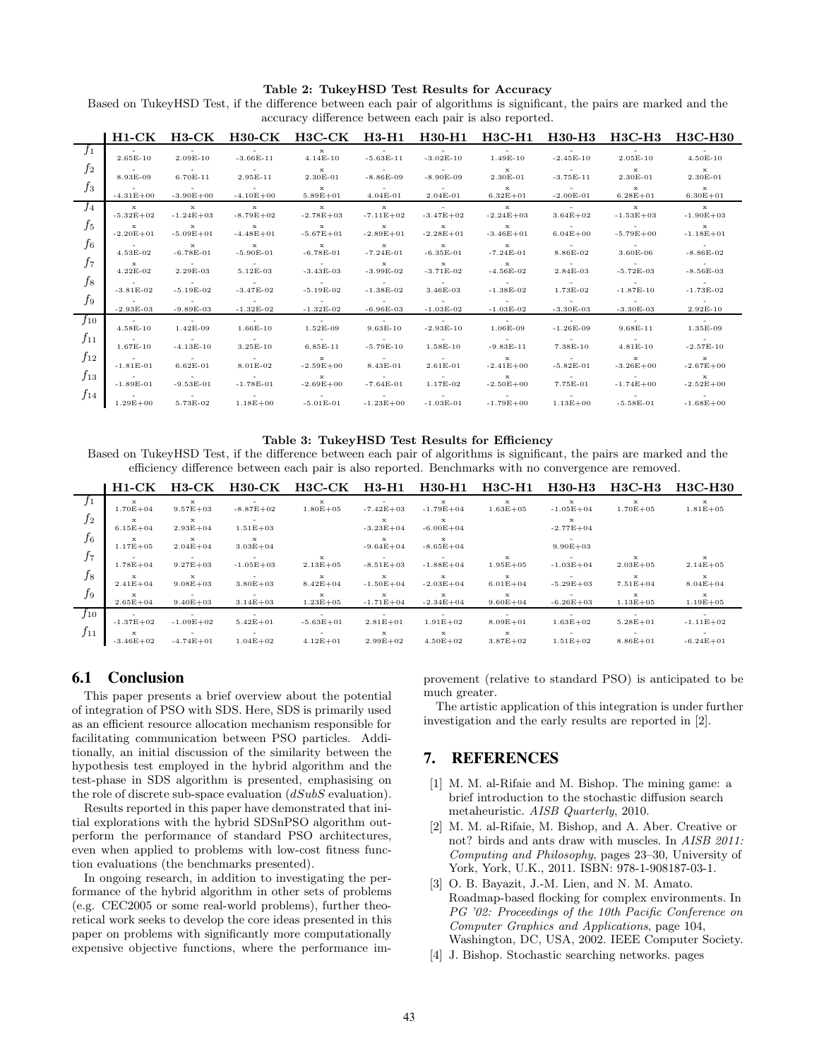#### **Table 2: TukeyHSD Test Results for Accuracy**

Based on TukeyHSD Test, if the difference between each pair of algorithms is significant, the pairs are marked and the accuracy difference between each pair is also reported.

|                | H1-CK                                  |                                              |                                                                                                                                                                                                                                                    | H3-CK H30-CK H3C-CK H3-H1 H30-H1 H3C-H1 H30-H3 H3C-H3 H3C-H30 |                                                   |                                                         |                                                         |                                              |                                          |                                                  |
|----------------|----------------------------------------|----------------------------------------------|----------------------------------------------------------------------------------------------------------------------------------------------------------------------------------------------------------------------------------------------------|---------------------------------------------------------------|---------------------------------------------------|---------------------------------------------------------|---------------------------------------------------------|----------------------------------------------|------------------------------------------|--------------------------------------------------|
| $f_1$          | $2.65E-10$                             | the company of the company<br>$2.09E - 10$   | and the state of the<br>$-3.66E-11$                                                                                                                                                                                                                | $\mathbf{x}$<br>$4.14E-10$                                    | and the state of the state<br>$-5.63E-11$         | the company of the company                              | the control of the control of<br>$-3.02E-10$ $1.49E-10$ | the company of the company<br>$-2.45E-10$    | and the state of<br>$2.05E-10$           | $4.50E-10$                                       |
| $f_2$          | 8.93E-09                               | the contract of the contract of<br>6.70E-11  | <b>Contract Contract Contract</b><br>$2.95E-11$                                                                                                                                                                                                    | $\mathbf{x}$<br>2.30E-01                                      | the company of the company<br>$-8.86E-09$         | the company of the company of<br>$-8.90E-09$            | $\mathbf{x}$<br>2.30E-01                                | the company of the company of<br>$-3.75E-11$ | $\mathbf{x}$<br>$2.30E-01$               | $\mathbf{x}$<br>2.30E-01                         |
| $f_3$          | $-4.31E + 00$                          | <b>Contract Contract</b><br>$-3.90E + 00$    | $-4.10E + 00$                                                                                                                                                                                                                                      | $\mathbf{x}$<br>$5.89E + 01$                                  | $4.04E-01$                                        | <b>Contract Contract Contract</b><br>$2.04E-01$         | $\mathbf{x}$<br>$6.32E + 01$                            | $-2.00E-01$                                  | $\mathbf{x}$<br>$6.28E + 01$             | $\mathbf{x}$<br>$6.30E + 01$                     |
| $f_4$          | $\mathbf{x}$<br>$-5.32E + 02$          | $\mathbf{x}$<br>$-1.24E + 03$                | $\mathbf{x}$<br>$-8.79E + 02$                                                                                                                                                                                                                      | $\mathbf{x}$ and $\mathbf{x}$<br>$-2.78E + 03$                | $\mathbf{x}$<br>$-7.11E + 02$                     | <b>Contract Contract</b><br>$-3.47E + 02$               | $\mathbf{x}$<br>$-2.24E + 03$                           | the company of the<br>$3.64E + 02$           | $\mathbf{x}$<br>$-1.53E + 03$            | $\mathbf{x}$<br>$-1.90E + 03$                    |
| f5             | $\mathbf{x}$<br>$-2.20E + 01$          | $\mathbf{x}$<br>$-5.09E + 01$                | $\mathbf{x}$<br>$-4.48E + 01$                                                                                                                                                                                                                      | $\mathbf{x}$<br>$-5.67E + 01$                                 | $\mathbf{x}$<br>$-2.89E + 01$                     | $\mathbf{x}$ . The set of $\mathbf{x}$<br>$-2.28E + 01$ | $\mathbf{x}$<br>$-3.46E + 01$                           | <b>Contract Contract</b><br>$6.04E + 00$     | and the contract of<br>$-5.79E + 00$     | $\mathbf{x}$<br>$-1.18E + 01$                    |
| f <sub>6</sub> | $4.53E-02$                             | $\mathbf{x}$ and $\mathbf{x}$<br>$-6.78E-01$ | <b>x</b> and the state of the state of the state of the state of the state of the state of the state of the state of the state of the state of the state of the state of the state of the state of the state of the state of the st<br>$-5.90E-01$ | $\mathbf{x}$<br>$-6.78E-01$                                   | $\mathbf{x}$<br>$-7.24E-01$                       | $\mathbf{x}$ and $\mathbf{x}$<br>$-6.35E-01$            | $\mathbf{x}$<br>$-7.24E-01$                             | and the state of the<br>8.86E-02             | 3.60E-06                                 | <b>Contract Contract Contract</b><br>$-8.86E-02$ |
| f7             | $\mathbf{x}$<br>$4.22E-02$             | <b>Contract Contract</b><br>2.29E-03         | <b>Contract Contract</b><br>5.12E-03                                                                                                                                                                                                               | and the control of<br>$-3.43E-03$                             | $\mathbf{x}$<br>$-3.99E-02$                       | $\mathbf{x}$<br>$-3.71E-02$                             | $\mathbf{x}$<br>$-4.56E-02$                             | <b>Contract Contract</b><br>2.84E-03         | $-5.72E-03$                              | $-8.56E-03$                                      |
| f8             | $-3.81E-02$                            | <b>Contractor</b><br>$-5.19E-02$             | <b>Contract Contract Contract</b><br>$-3.47E-02$                                                                                                                                                                                                   | <b>Contract Contract</b><br>$-5.19E-02$                       | <b>Contract Contract Contract</b><br>$-1.38E-02$  | <b>Contract Contract Contract</b><br>3.46E-03           | and the contract of<br>$-1.38E-02$                      | <b>Contract Contract</b><br>1.73E-02         | <b>Service State</b><br>$-1.87E-10$      | $-1.73E-02$                                      |
| f9             | $-2.93E-03$                            | <b>Contract Contract</b><br>$-9.89E-03$      | and the state of the state<br>$-1.32E-02$                                                                                                                                                                                                          | $-1.32E-02$                                                   | $-6.96E-03$                                       | <b>Contract Contract Contract</b><br>$-1.03E-02$        | $-1.03E-02$                                             | $-3.30E-03$                                  | $-3.30E-03$                              | $2.92E-10$                                       |
| $f_{10}$       | <b>Contract Contract</b><br>$4.58E-10$ | <b>Contract Contract</b><br>$1.42E-09$       | and the control<br>$1.66E-10$                                                                                                                                                                                                                      | <b>Contractor</b><br>1.52E-09                                 | <b>Contract Contract Contract</b><br>$9.63E - 10$ | <b>Contract Contract</b><br>$-2.93E-10$                 | <b>Contract Contract</b><br>1.06E-09                    | <b>Contract Contract</b><br>$-1.26E-09$      | <b>Contract Contract</b><br>$9.68E-11$   | <b>Contract Contract</b><br>1.35E-09             |
| $f_{11}$       | 1.67E-10                               | $-4.13E-10$                                  | the contract of the contract of<br>$3.25E-10$                                                                                                                                                                                                      | the contract of the contract of<br>$6.85E-11$                 | $-5.79E-10$                                       | and the contract of the<br>1.58E-10                     | $-9.83E-11$                                             | 7.38E-10                                     | $4.81E-10$                               | $-2.57E-10$                                      |
| $f_{12}$       | $-1.81E-01$                            | $6.62E-01$                                   | $8.01E-02$                                                                                                                                                                                                                                         | <b>X</b><br>$-2.59E + 00$                                     | 8.43E-01                                          | $2.61E-01$                                              | $\mathbf{x}$<br>$-2.41E + 00$                           | $-5.82E-01$                                  | $\mathbf{x}$<br>$-3.26E + 00$            | $\mathbf{x}$<br>$-2.67E + 00$                    |
| $f_{13}$       | $-1.89E-01$                            | $-9.53E-01$                                  | <b>Contract Contract</b><br>$-1.78E-01$                                                                                                                                                                                                            | $\mathbf{x}$ .<br>$-2.69E + 00$                               | and the state of the state<br>$-7.64E-01$         | and the control of<br>$1.17E-02$                        | $\mathbf{x}$<br>$-2.50E + 00$                           | and the state of the state<br>7.75E-01       | and the contract of the<br>$-1.74E + 00$ | $\mathbf{x}$<br>$-2.52E + 00$                    |
| $f_{14}$       | $1.29E + 00$                           | <b>Service</b><br>5.73E-02                   | $1.18E + 00$                                                                                                                                                                                                                                       | $-5.01E-01$                                                   | $-1.23E + 00$                                     | $-1.03E-01$                                             | $-1.79E + 00$                                           | $1.13E + 00$                                 | $-5.58E-01$                              | $-1.68E + 00$                                    |

#### **Table 3: TukeyHSD Test Results for Efficiency**

Based on TukeyHSD Test, if the difference between each pair of algorithms is significant, the pairs are marked and the efficiency difference between each pair is also reported. Benchmarks with no convergence are removed.

|          | $H1-CK$                      | $H3-CK$                                   | <b>H30-CK</b>                            | $H3C-CK$                                  | $H3-H1$                       | <b>H30-H1</b>                 | $H3C-H1$                     | <b>H30-H3</b>                | $H3C-H3$                     | <b>H3C-H30</b>               |
|----------|------------------------------|-------------------------------------------|------------------------------------------|-------------------------------------------|-------------------------------|-------------------------------|------------------------------|------------------------------|------------------------------|------------------------------|
| J1       | $\mathbf{x}$<br>$1.70E + 04$ | $\mathbf x$<br>$9.57E + 03$               | $\sim$<br>$-8.87E + 02$                  | $\mathbf{x}$<br>$1.80E + 05$              | $\sim$<br>$-7.42E + 03$       | $\mathbf{x}$<br>$-1.79E + 04$ | $\mathbf x$<br>$1.63E + 05$  | $\mathbf x$<br>$-1.05E + 04$ | $\mathbf x$<br>$1.70E + 05$  | $\mathbf x$<br>$1.81E + 05$  |
| $f_2$    | $\mathbf{x}$<br>$6.15E + 04$ | $\mathbf x$<br>$2.93E + 04$               | <b>COL</b><br>$1.51E + 03$               |                                           | $\mathbf{x}$<br>$-3.23E + 04$ | $\mathbf{x}$<br>$-6.00E + 04$ |                              | $\mathbf x$<br>$-2.77E + 04$ |                              |                              |
| $f_{6}$  | x<br>$1.17E + 05$            | $\mathbf x$<br>$2.04E + 04$               | $\mathbf{x}$<br>$3.03E + 04$             |                                           | $\mathbf{x}$<br>$-9.64E + 04$ | $\mathbf{x}$<br>$-8.65E + 04$ |                              | $9.90E + 03$                 |                              |                              |
| $f_7$    | $1.78E + 04$                 | $\sim$<br>$9.27E + 03$                    | $\sim$<br>$-1.05E + 03$                  | $\mathbf{x}$<br>$2.13E + 05$              | $\sim$<br>$-8.51E + 03$       | $\sim$<br>$-1.88E + 04$       | $\mathbf x$<br>$1.95E + 05$  | $-1.03E + 04$                | $\mathbf{x}$<br>$2.03E + 05$ | $\mathbf{x}$<br>$2.14E + 05$ |
| f8       | $\mathbf{x}$<br>$2.41E + 04$ | $\mathbf{x}$<br>$9.08E + 03$              | $\sim$<br>$3.80E + 03$                   | $\mathbf{x}$<br>$8.42E + 04$              | $\mathbf{x}$<br>$-1.50E + 04$ | $\mathbf{x}$<br>$-2.03E + 04$ | $\mathbf{x}$<br>$6.01E + 04$ | $-5.29E + 03$                | $\mathbf{x}$<br>$7.51E + 04$ | $\mathbf{x}$<br>$8.04E + 04$ |
| f9       | $\mathbf x$<br>$2.65E + 04$  | $\sim$<br>$9.40E + 03$                    | <b>COL</b><br>$3.14E + 03$               | $\mathbf{x}$<br>$1.23E + 05$              | $\mathbf{x}$<br>$-1.71E + 04$ | $\mathbf{x}$<br>$-2.34E + 04$ | $\mathbf{x}$<br>$9.60E + 04$ | $\sim$<br>$-6.26E + 03$      | $\mathbf{x}$<br>$1.13E + 05$ | $\mathbf{x}$<br>$1.19E + 05$ |
| $J_{10}$ | $-1.37E + 02$                | $\overline{\phantom{a}}$<br>$-1.09E + 02$ | $\overline{\phantom{a}}$<br>$5.42E + 01$ | $\overline{\phantom{a}}$<br>$-5.63E + 01$ | $2.81E + 01$                  | $1.91E + 02$                  | $8.09E + 01$                 | $1.63E + 02$                 | $\sim$<br>$5.28E + 01$       | $-1.11E + 02$                |
| $f_{11}$ | $\mathbf x$<br>$-3.46E + 02$ | <b>.</b><br>$-4.74E+01$                   | $\sim$<br>$1.04E + 02$                   | $\sim$<br>$4.12E + 01$                    | $\mathbf{x}$<br>$2.99E + 02$  | $\mathbf{x}$<br>$4.50E + 02$  | $\mathbf x$<br>$3.87E + 02$  | $1.51E + 02$                 | $8.86E + 01$                 | $-6.24E + 01$                |

## **6.1 Conclusion**

This paper presents a brief overview about the potential of integration of PSO with SDS. Here, SDS is primarily used as an efficient resource allocation mechanism responsible for facilitating communication between PSO particles. Additionally, an initial discussion of the similarity between the hypothesis test employed in the hybrid algorithm and the test-phase in SDS algorithm is presented, emphasising on the role of discrete sub-space evaluation  $(dSubS)$  evaluation).

Results reported in this paper have demonstrated that initial explorations with the hybrid SDSnPSO algorithm outperform the performance of standard PSO architectures, even when applied to problems with low-cost fitness function evaluations (the benchmarks presented).

In ongoing research, in addition to investigating the performance of the hybrid algorithm in other sets of problems (e.g. CEC2005 or some real-world problems), further theoretical work seeks to develop the core ideas presented in this paper on problems with significantly more computationally expensive objective functions, where the performance improvement (relative to standard PSO) is anticipated to be much greater.

The artistic application of this integration is under further investigation and the early results are reported in [2].

## **7. REFERENCES**

- [1] M. M. al-Rifaie and M. Bishop. The mining game: a brief introduction to the stochastic diffusion search metaheuristic. AISB Quarterly, 2010.
- [2] M. M. al-Rifaie, M. Bishop, and A. Aber. Creative or not? birds and ants draw with muscles. In AISB 2011: Computing and Philosophy, pages 23–30, University of York, York, U.K., 2011. ISBN: 978-1-908187-03-1.
- [3] O. B. Bayazit, J.-M. Lien, and N. M. Amato. Roadmap-based flocking for complex environments. In PG '02: Proceedings of the 10th Pacific Conference on Computer Graphics and Applications, page 104, Washington, DC, USA, 2002. IEEE Computer Society.
- [4] J. Bishop. Stochastic searching networks. pages